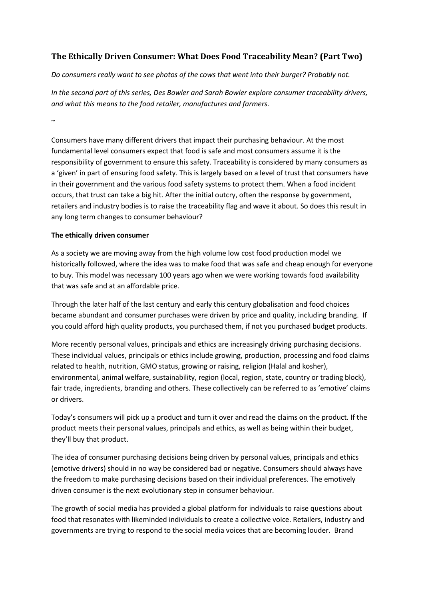# **The Ethically Driven Consumer: What Does Food Traceability Mean? (Part Two)**

*Do consumers really want to see photos of the cows that went into their burger? Probably not.*

*In the second part of this series, Des Bowler and Sarah Bowler explore consumer traceability drivers, and what this means to the food retailer, manufactures and farmers.*

 $\sim$ 

Consumers have many different drivers that impact their purchasing behaviour. At the most fundamental level consumers expect that food is safe and most consumers assume it is the responsibility of government to ensure this safety. Traceability is considered by many consumers as a 'given' in part of ensuring food safety. This is largely based on a level of trust that consumers have in their government and the various food safety systems to protect them. When a food incident occurs, that trust can take a big hit. After the initial outcry, often the response by government, retailers and industry bodies is to raise the traceability flag and wave it about. So does this result in any long term changes to consumer behaviour?

## **The ethically driven consumer**

As a society we are moving away from the high volume low cost food production model we historically followed, where the idea was to make food that was safe and cheap enough for everyone to buy. This model was necessary 100 years ago when we were working towards food availability that was safe and at an affordable price.

Through the later half of the last century and early this century globalisation and food choices became abundant and consumer purchases were driven by price and quality, including branding. If you could afford high quality products, you purchased them, if not you purchased budget products.

More recently personal values, principals and ethics are increasingly driving purchasing decisions. These individual values, principals or ethics include growing, production, processing and food claims related to health, nutrition, GMO status, growing or raising, religion (Halal and kosher), environmental, animal welfare, sustainability, region (local, region, state, country or trading block), fair trade, ingredients, branding and others. These collectively can be referred to as 'emotive' claims or drivers.

Today's consumers will pick up a product and turn it over and read the claims on the product. If the product meets their personal values, principals and ethics, as well as being within their budget, they'll buy that product.

The idea of consumer purchasing decisions being driven by personal values, principals and ethics (emotive drivers) should in no way be considered bad or negative. Consumers should always have the freedom to make purchasing decisions based on their individual preferences. The emotively driven consumer is the next evolutionary step in consumer behaviour.

The growth of social media has provided a global platform for individuals to raise questions about food that resonates with likeminded individuals to create a collective voice. Retailers, industry and governments are trying to respond to the social media voices that are becoming louder. Brand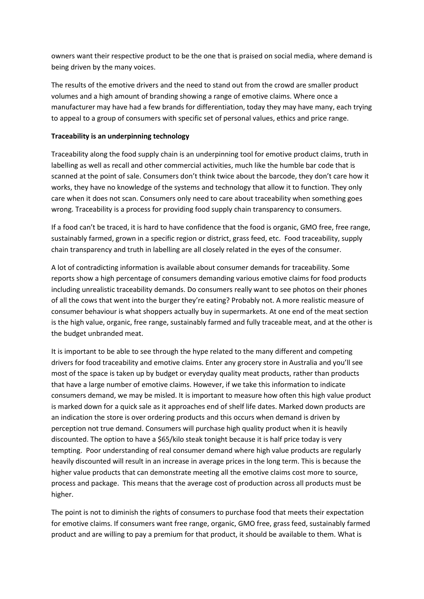owners want their respective product to be the one that is praised on social media, where demand is being driven by the many voices.

The results of the emotive drivers and the need to stand out from the crowd are smaller product volumes and a high amount of branding showing a range of emotive claims. Where once a manufacturer may have had a few brands for differentiation, today they may have many, each trying to appeal to a group of consumers with specific set of personal values, ethics and price range.

### **Traceability is an underpinning technology**

Traceability along the food supply chain is an underpinning tool for emotive product claims, truth in labelling as well as recall and other commercial activities, much like the humble bar code that is scanned at the point of sale. Consumers don't think twice about the barcode, they don't care how it works, they have no knowledge of the systems and technology that allow it to function. They only care when it does not scan. Consumers only need to care about traceability when something goes wrong. Traceability is a process for providing food supply chain transparency to consumers.

If a food can't be traced, it is hard to have confidence that the food is organic, GMO free, free range, sustainably farmed, grown in a specific region or district, grass feed, etc. Food traceability, supply chain transparency and truth in labelling are all closely related in the eyes of the consumer.

A lot of contradicting information is available about consumer demands for traceability. Some reports show a high percentage of consumers demanding various emotive claims for food products including unrealistic traceability demands. Do consumers really want to see photos on their phones of all the cows that went into the burger they're eating? Probably not. A more realistic measure of consumer behaviour is what shoppers actually buy in supermarkets. At one end of the meat section is the high value, organic, free range, sustainably farmed and fully traceable meat, and at the other is the budget unbranded meat.

It is important to be able to see through the hype related to the many different and competing drivers for food traceability and emotive claims. Enter any grocery store in Australia and you'll see most of the space is taken up by budget or everyday quality meat products, rather than products that have a large number of emotive claims. However, if we take this information to indicate consumers demand, we may be misled. It is important to measure how often this high value product is marked down for a quick sale as it approaches end of shelf life dates. Marked down products are an indication the store is over ordering products and this occurs when demand is driven by perception not true demand. Consumers will purchase high quality product when it is heavily discounted. The option to have a \$65/kilo steak tonight because it is half price today is very tempting. Poor understanding of real consumer demand where high value products are regularly heavily discounted will result in an increase in average prices in the long term. This is because the higher value products that can demonstrate meeting all the emotive claims cost more to source, process and package. This means that the average cost of production across all products must be higher.

The point is not to diminish the rights of consumers to purchase food that meets their expectation for emotive claims. If consumers want free range, organic, GMO free, grass feed, sustainably farmed product and are willing to pay a premium for that product, it should be available to them. What is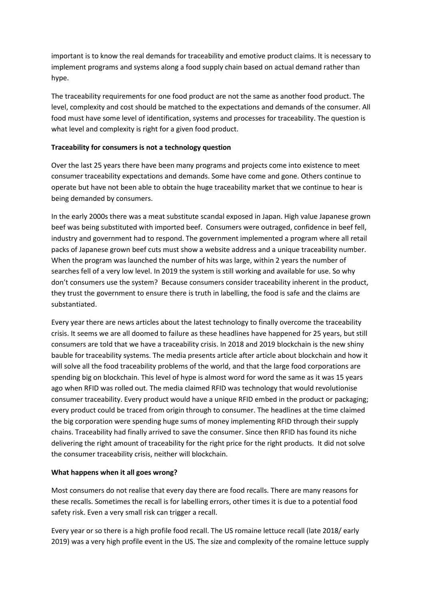important is to know the real demands for traceability and emotive product claims. It is necessary to implement programs and systems along a food supply chain based on actual demand rather than hype.

The traceability requirements for one food product are not the same as another food product. The level, complexity and cost should be matched to the expectations and demands of the consumer. All food must have some level of identification, systems and processes for traceability. The question is what level and complexity is right for a given food product.

#### **Traceability for consumers is not a technology question**

Over the last 25 years there have been many programs and projects come into existence to meet consumer traceability expectations and demands. Some have come and gone. Others continue to operate but have not been able to obtain the huge traceability market that we continue to hear is being demanded by consumers.

In the early 2000s there was a meat substitute scandal exposed in Japan. High value Japanese grown beef was being substituted with imported beef. Consumers were outraged, confidence in beef fell, industry and government had to respond. The government implemented a program where all retail packs of Japanese grown beef cuts must show a website address and a unique traceability number. When the program was launched the number of hits was large, within 2 years the number of searches fell of a very low level. In 2019 the system is still working and available for use. So why don't consumers use the system? Because consumers consider traceability inherent in the product, they trust the government to ensure there is truth in labelling, the food is safe and the claims are substantiated.

Every year there are news articles about the latest technology to finally overcome the traceability crisis. It seems we are all doomed to failure as these headlines have happened for 25 years, but still consumers are told that we have a traceability crisis. In 2018 and 2019 blockchain is the new shiny bauble for traceability systems. The media presents article after article about blockchain and how it will solve all the food traceability problems of the world, and that the large food corporations are spending big on blockchain. This level of hype is almost word for word the same as it was 15 years ago when RFID was rolled out. The media claimed RFID was technology that would revolutionise consumer traceability. Every product would have a unique RFID embed in the product or packaging; every product could be traced from origin through to consumer. The headlines at the time claimed the big corporation were spending huge sums of money implementing RFID through their supply chains. Traceability had finally arrived to save the consumer. Since then RFID has found its niche delivering the right amount of traceability for the right price for the right products. It did not solve the consumer traceability crisis, neither will blockchain.

#### **What happens when it all goes wrong?**

Most consumers do not realise that every day there are food recalls. There are many reasons for these recalls. Sometimes the recall is for labelling errors, other times it is due to a potential food safety risk. Even a very small risk can trigger a recall.

Every year or so there is a high profile food recall. The US romaine lettuce recall (late 2018/ early 2019) was a very high profile event in the US. The size and complexity of the romaine lettuce supply